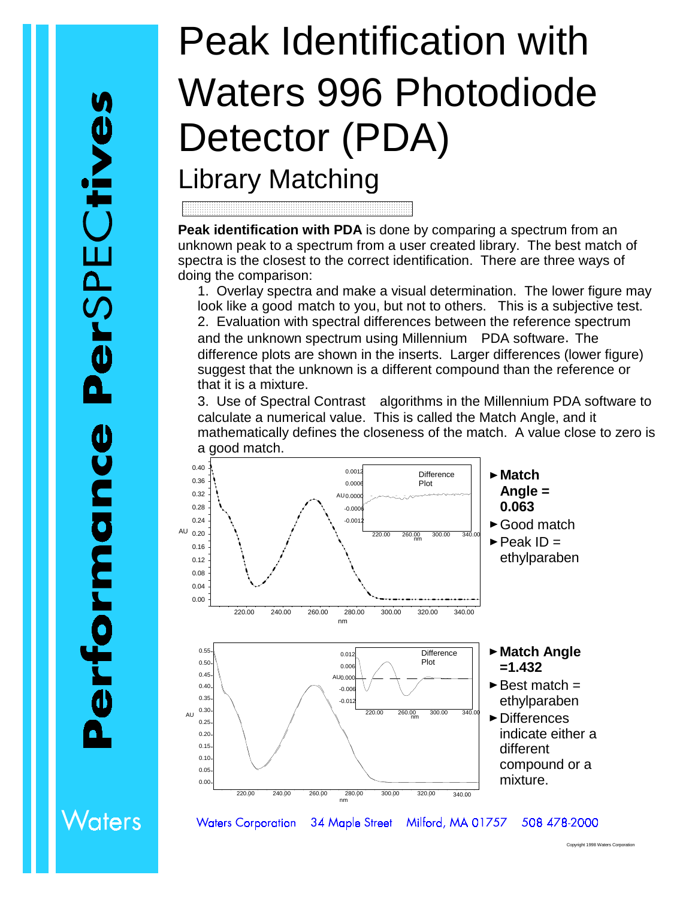## Peak Identification with Waters 996 Photodiode Detector (PDA)

## Library Matching

**Peak identification with PDA** is done by comparing a spectrum from an unknown peak to a spectrum from a user created library. The best match of spectra is the closest to the correct identification. There are three ways of doing the comparison:

1. Overlay spectra and make a visual determination. The lower figure may look like a good match to you, but not to others. This is a subjective test. 2. Evaluation with spectral differences between the reference spectrum and the unknown spectrum using Millennium<sup>®</sup> PDA software. The difference plots are shown in the inserts. Larger differences (lower figure) suggest that the unknown is a different compound than the reference or that it is a mixture.

3. Use of Spectral Contrast™ algorithms in the Millennium PDA software to calculate a numerical value. This is called the Match Angle, and it mathematically defines the closeness of the match. A value close to zero is a good match.



34 Maple Street

Milford, MA 01757

Vaters **Waters Corporation** 

Copyright 1998 Waters Corpora

508 478-2000